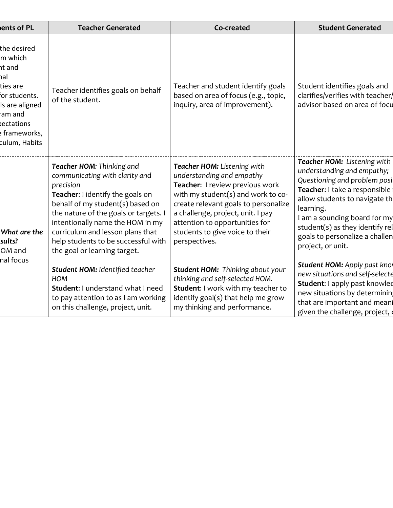| ents of PL                                                                                                                                        | <b>Teacher Generated</b>                                                                                                                                                                                                                                                                                                               | Co-created                                                                                                                                                                                                                                                                                           | <b>Student Generated</b>                                                                                                                                                                                                                                                                           |
|---------------------------------------------------------------------------------------------------------------------------------------------------|----------------------------------------------------------------------------------------------------------------------------------------------------------------------------------------------------------------------------------------------------------------------------------------------------------------------------------------|------------------------------------------------------------------------------------------------------------------------------------------------------------------------------------------------------------------------------------------------------------------------------------------------------|----------------------------------------------------------------------------------------------------------------------------------------------------------------------------------------------------------------------------------------------------------------------------------------------------|
| the desired<br>m which<br>ht and<br>hal<br>ties are<br>for students.<br>Is are aligned<br>ram and<br>dectations<br>e frameworks,<br>culum, Habits | Teacher identifies goals on behalf<br>of the student.                                                                                                                                                                                                                                                                                  | Teacher and student identify goals<br>based on area of focus (e.g., topic,<br>inquiry, area of improvement).                                                                                                                                                                                         | Student identifies goals and<br>clarifies/verifies with teacher/<br>advisor based on area of focu                                                                                                                                                                                                  |
| What are the<br>sults?<br>OM and                                                                                                                  | Teacher HOM: Thinking and<br>communicating with clarity and<br>precision<br>Teacher: I identify the goals on<br>behalf of my student(s) based on<br>the nature of the goals or targets.<br>intentionally name the HOM in my<br>curriculum and lesson plans that<br>help students to be successful with<br>the goal or learning target. | Teacher HOM: Listening with<br>understanding and empathy<br>Teacher: I review previous work<br>with my student(s) and work to co-<br>create relevant goals to personalize<br>a challenge, project, unit. I pay<br>attention to opportunities for<br>students to give voice to their<br>perspectives. | Teacher HOM: Listening with<br>understanding and empathy;<br>Questioning and problem posi<br>Teacher: I take a responsible<br>allow students to navigate th<br>learning.<br>I am a sounding board for my<br>student(s) as they identify rel<br>goals to personalize a challen<br>project, or unit. |
| nal focus                                                                                                                                         | Student HOM: Identified teacher<br><b>HOM</b><br>Student: I understand what I need<br>to pay attention to as I am working<br>on this challenge, project, unit.                                                                                                                                                                         | Student HOM: Thinking about your<br>thinking and self-selected HOM.<br>Student: I work with my teacher to<br>identify goal(s) that help me grow<br>my thinking and performance.                                                                                                                      | Student HOM: Apply past knot<br>new situations and self-selecte<br>Student: I apply past knowled<br>new situations by determinin<br>that are important and meani<br>given the challenge, project,                                                                                                  |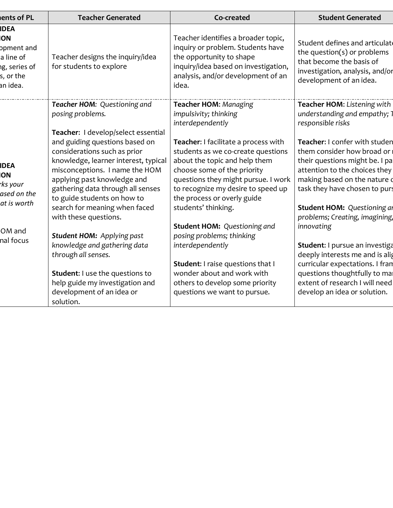| Teacher identifies a broader topic,<br>inquiry or problem. Students have<br>the opportunity to shape<br>inquiry/idea based on investigation,<br>analysis, and/or development of an<br>Teacher HOM: Managing                                                                                                                                                       | Student defines and articulate<br>the question( $s$ ) or problems<br>that become the basis of<br>investigation, analysis, and/or<br>development of an idea.                                                                                                                                                                                                                                                                                                                                                                                    |
|-------------------------------------------------------------------------------------------------------------------------------------------------------------------------------------------------------------------------------------------------------------------------------------------------------------------------------------------------------------------|------------------------------------------------------------------------------------------------------------------------------------------------------------------------------------------------------------------------------------------------------------------------------------------------------------------------------------------------------------------------------------------------------------------------------------------------------------------------------------------------------------------------------------------------|
|                                                                                                                                                                                                                                                                                                                                                                   |                                                                                                                                                                                                                                                                                                                                                                                                                                                                                                                                                |
| impulsivity; thinking<br>interdependently<br>Teacher: I facilitate a process with<br>students as we co-create questions<br>about the topic and help them<br>choose some of the priority<br>questions they might pursue. I work<br>to recognize my desire to speed up<br>the process or overly guide<br>students' thinking.<br><b>Student HOM: Questioning and</b> | Teacher HOM: Listening with<br>understanding and empathy; 1<br>responsible risks<br>Teacher: I confer with studen<br>them consider how broad or<br>their questions might be. I pa<br>attention to the choices they<br>making based on the nature of<br>task they have chosen to purs<br>Student HOM: Questioning ar<br>problems; Creating, imagining,<br>innovating<br>Student: I pursue an investiga<br>deeply interests me and is alig<br>curricular expectations. I fran<br>questions thoughtfully to mal<br>extent of research I will need |
|                                                                                                                                                                                                                                                                                                                                                                   | posing problems; thinking<br>interdependently<br>Student: I raise questions that I<br>wonder about and work with<br>others to develop some priority<br>questions we want to pursue.                                                                                                                                                                                                                                                                                                                                                            |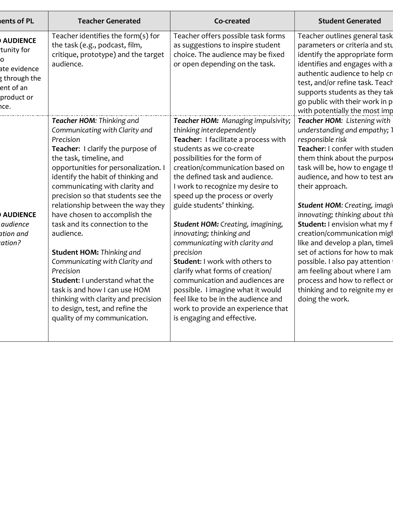| ents of PL                                                                                             | <b>Teacher Generated</b>                                                                                                                                                                                                                                                                                                                                                                                                                                                                                                                                                                                                                                                            | Co-created                                                                                                                                                                                                                                                                                                                                                                                                                                                                                                                                                                                                                                                                                                                  | <b>Student Generated</b>                                                                                                                                                                                                                                                                                                                                                                                                                                                                                                                                                                                    |
|--------------------------------------------------------------------------------------------------------|-------------------------------------------------------------------------------------------------------------------------------------------------------------------------------------------------------------------------------------------------------------------------------------------------------------------------------------------------------------------------------------------------------------------------------------------------------------------------------------------------------------------------------------------------------------------------------------------------------------------------------------------------------------------------------------|-----------------------------------------------------------------------------------------------------------------------------------------------------------------------------------------------------------------------------------------------------------------------------------------------------------------------------------------------------------------------------------------------------------------------------------------------------------------------------------------------------------------------------------------------------------------------------------------------------------------------------------------------------------------------------------------------------------------------------|-------------------------------------------------------------------------------------------------------------------------------------------------------------------------------------------------------------------------------------------------------------------------------------------------------------------------------------------------------------------------------------------------------------------------------------------------------------------------------------------------------------------------------------------------------------------------------------------------------------|
| <b>AUDIENCE</b><br>tunity for<br>O<br>ate evidence<br>g through the<br>ent of an<br>product or<br>hce. | Teacher identifies the form $(s)$ for<br>the task (e.g., podcast, film,<br>critique, prototype) and the target<br>audience.                                                                                                                                                                                                                                                                                                                                                                                                                                                                                                                                                         | Teacher offers possible task forms<br>as suggestions to inspire student<br>choice. The audience may be fixed<br>or open depending on the task.                                                                                                                                                                                                                                                                                                                                                                                                                                                                                                                                                                              | Teacher outlines general task<br>parameters or criteria and stu<br>identify the appropriate form<br>identifies and engages with a<br>authentic audience to help cr<br>test, and/or refine task. Teach<br>supports students as they tak<br>go public with their work in p<br>with potentially the most imp                                                                                                                                                                                                                                                                                                   |
| <b>AUDIENCE</b><br>audience<br>ation and<br>cation?                                                    | Teacher HOM: Thinking and<br>Communicating with Clarity and<br>Precision<br>Teacher: I clarify the purpose of<br>the task, timeline, and<br>opportunities for personalization. I<br>identify the habit of thinking and<br>communicating with clarity and<br>precision so that students see the<br>relationship between the way they<br>have chosen to accomplish the<br>task and its connection to the<br>audience.<br><b>Student HOM: Thinking and</b><br>Communicating with Clarity and<br>Precision<br>Student: I understand what the<br>task is and how I can use HOM<br>thinking with clarity and precision<br>to design, test, and refine the<br>quality of my communication. | Teacher HOM: Managing impulsivity;<br>thinking interdependently<br>Teacher: I facilitate a process with<br>students as we co-create<br>possibilities for the form of<br>creation/communication based on<br>the defined task and audience.<br>I work to recognize my desire to<br>speed up the process or overly<br>guide students' thinking.<br>Student HOM: Creating, imagining,<br>innovating; thinking and<br>communicating with clarity and<br>precision<br><b>Student: I work with others to</b><br>clarify what forms of creation/<br>communication and audiences are<br>possible. I imagine what it would<br>feel like to be in the audience and<br>work to provide an experience that<br>is engaging and effective. | Teacher HOM: Listening with<br>understanding and empathy; 1<br>responsible risk<br>Teacher: I confer with studen<br>them think about the purpose<br>task will be, how to engage th<br>audience, and how to test an<br>their approach.<br><b>Student HOM: Creating, imagil</b><br>innovating; thinking about thil<br>Student: I envision what my f<br>creation/communication migh<br>like and develop a plan, timeli<br>set of actions for how to mak<br>possible. I also pay attention<br>am feeling about where I am<br>process and how to reflect or<br>thinking and to reignite my er<br>doing the work. |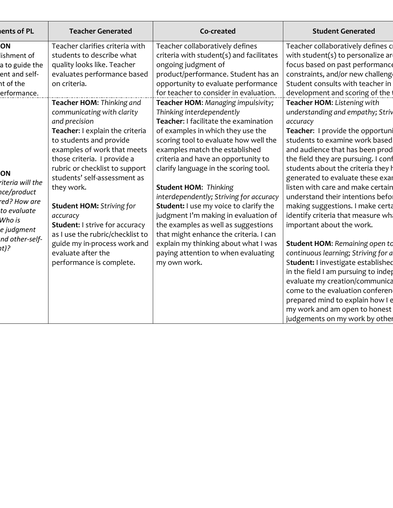| ents of PL       | <b>Teacher Generated</b>              | Co-created                                    | <b>Student Generated</b>              |
|------------------|---------------------------------------|-----------------------------------------------|---------------------------------------|
| ON               | Teacher clarifies criteria with       | Teacher collaboratively defines               | Teacher collaboratively defines c     |
| lishment of      | students to describe what             | criteria with student(s) and facilitates      | with student(s) to personalize ar     |
| a to guide the   | quality looks like. Teacher           | ongoing judgment of                           | focus based on past performance       |
| ent and self-    | evaluates performance based           | product/performance. Student has an           | constraints, and/or new challeng      |
| nt of the        | on criteria.                          | opportunity to evaluate performance           | Student consults with teacher in      |
| erformance.      |                                       | for teacher to consider in evaluation.        | development and scoring of the        |
|                  | Teacher HOM: Thinking and             | Teacher HOM: Managing impulsivity;            | Teacher HOM: Listening with           |
|                  | communicating with clarity            | Thinking interdependently                     | understanding and empathy; Striv      |
|                  | and precision                         | Teacher: I facilitate the examination         | accuracy                              |
|                  | Teacher: I explain the criteria       | of examples in which they use the             | Teacher: I provide the opportuni      |
|                  | to students and provide               | scoring tool to evaluate how well the         | students to examine work based        |
|                  | examples of work that meets           | examples match the established                | and audience that has been prod       |
|                  | those criteria. I provide a           | criteria and have an opportunity to           | the field they are pursuing. I conf   |
|                  | rubric or checklist to support        | clarify language in the scoring tool.         | students about the criteria they h    |
| ON               | students' self-assessment as          |                                               | generated to evaluate these exar      |
| riteria will the | they work.                            | <b>Student HOM: Thinking</b>                  | listen with care and make certain     |
| nce/product      |                                       | interdependently; Striving for accuracy       | understand their intentions befor     |
| red? How are     | <b>Student HOM: Striving for</b>      | <b>Student:</b> I use my voice to clarify the | making suggestions. I make certa      |
| to evaluate      | accuracy                              | judgment I'm making in evaluation of          | identify criteria that measure wh     |
| Who is           | <b>Student: I strive for accuracy</b> | the examples as well as suggestions           | important about the work.             |
| e judgment       | as I use the rubric/checklist to      | that might enhance the criteria. I can        |                                       |
| nd other-self-   | guide my in-process work and          | explain my thinking about what I was          | <b>Student HOM: Remaining open to</b> |
| ht)?             | evaluate after the                    | paying attention to when evaluating           | continuous learning; Striving for a   |
|                  | performance is complete.              | my own work.                                  | Student: I investigate established    |
|                  |                                       |                                               | in the field I am pursuing to indep   |
|                  |                                       |                                               | evaluate my creation/communica        |
|                  |                                       |                                               | come to the evaluation conferen       |
|                  |                                       |                                               | prepared mind to explain how I e      |
|                  |                                       |                                               | my work and am open to honest         |
|                  |                                       |                                               | judgements on my work by other        |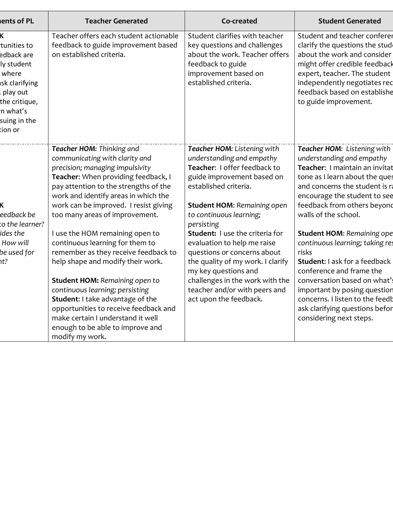| ents of PL                                                                                                                            | <b>Teacher Generated</b>                                                                                                                                                                                                                                                                          | Co-created                                                                                                                                                                                                                                               | <b>Student Generated</b>                                                                                                                                                                                                                                |
|---------------------------------------------------------------------------------------------------------------------------------------|---------------------------------------------------------------------------------------------------------------------------------------------------------------------------------------------------------------------------------------------------------------------------------------------------|----------------------------------------------------------------------------------------------------------------------------------------------------------------------------------------------------------------------------------------------------------|---------------------------------------------------------------------------------------------------------------------------------------------------------------------------------------------------------------------------------------------------------|
| tunities to<br>edback are<br>ly student<br>where<br>sk clarifying<br>play out<br>the critique,<br>n what's<br>suing in the<br>tion or | Teacher offers each student actionable<br>feedback to guide improvement based<br>on established criteria.                                                                                                                                                                                         | Student clarifies with teacher<br>key questions and challenges<br>about the work. Teacher offers<br>feedback to guide<br>improvement based on<br>established criteria.                                                                                   | Student and teacher conferer<br>clarify the questions the stud<br>about the work and consider<br>might offer credible feedback<br>expert, teacher. The student<br>independently negotiates red<br>feedback based on establishe<br>to guide improvement. |
| eedback be<br>to the learner?                                                                                                         | Teacher HOM: Thinking and<br>communicating with clarity and<br>precision; managing impulsivity<br>Teacher: When providing feedback, I<br>pay attention to the strengths of the<br>work and identify areas in which the<br>work can be improved. I resist giving<br>too many areas of improvement. | Teacher HOM: Listening with<br>understanding and empathy<br>Teacher: I offer feedback to<br>guide improvement based on<br>established criteria.<br><b>Student HOM: Remaining open</b><br>to continuous learning;<br>persisting                           | Teacher HOM: Listening with<br>understanding and empathy<br>Teacher: I maintain an invitat<br>tone as I learn about the ques<br>and concerns the student is ra<br>encourage the student to see<br>feedback from others beyond<br>walls of the school.   |
| ides the<br>How will<br>be used for<br>$\hbar t$ ?                                                                                    | I use the HOM remaining open to<br>continuous learning for them to<br>remember as they receive feedback to<br>help shape and modify their work.<br><b>Student HOM: Remaining open to</b><br>continuous learning; persisting<br>Student: I take advantage of the                                   | Student: I use the criteria for<br>evaluation to help me raise<br>questions or concerns about<br>the quality of my work. I clarify<br>my key questions and<br>challenges in the work with the<br>teacher and/or with peers and<br>act upon the feedback. | <b>Student HOM: Remaining ope</b><br>continuous learning; taking res<br>risks<br>Student: I ask for a feedback<br>conference and frame the<br>conversation based on what's<br>important by posing question<br>concerns. I listen to the feedb           |
|                                                                                                                                       | opportunities to receive feedback and<br>make certain I understand it well<br>enough to be able to improve and<br>modify my work.                                                                                                                                                                 |                                                                                                                                                                                                                                                          | ask clarifying questions befor<br>considering next steps.                                                                                                                                                                                               |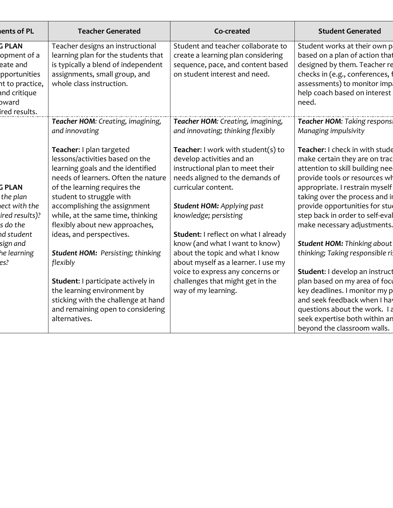| ents of PL                                                                                                       | <b>Teacher Generated</b>                                                                                                                                                                                                                                                                                                                                                    | Co-created                                                                                                                                                                                                                                                                                                                                      | <b>Student Generated</b>                                                                                                                                                                                                                                                                                                                                                             |
|------------------------------------------------------------------------------------------------------------------|-----------------------------------------------------------------------------------------------------------------------------------------------------------------------------------------------------------------------------------------------------------------------------------------------------------------------------------------------------------------------------|-------------------------------------------------------------------------------------------------------------------------------------------------------------------------------------------------------------------------------------------------------------------------------------------------------------------------------------------------|--------------------------------------------------------------------------------------------------------------------------------------------------------------------------------------------------------------------------------------------------------------------------------------------------------------------------------------------------------------------------------------|
| <b>G PLAN</b><br>opment of a<br>eate and<br>pportunities<br>nt to practice,<br>and critique<br>bward             | Teacher designs an instructional<br>learning plan for the students that<br>is typically a blend of independent<br>assignments, small group, and<br>whole class instruction.                                                                                                                                                                                                 | Student and teacher collaborate to<br>create a learning plan considering<br>sequence, pace, and content based<br>on student interest and need.                                                                                                                                                                                                  | Student works at their own p<br>based on a plan of action that<br>designed by them. Teacher re<br>checks in (e.g., conferences, 1<br>assessments) to monitor imp.<br>help coach based on interest<br>need.                                                                                                                                                                           |
| ired results.                                                                                                    | Teacher HOM: Creating, imagining,                                                                                                                                                                                                                                                                                                                                           | Teacher HOM: Creating, imagining,                                                                                                                                                                                                                                                                                                               | Teacher HOM: Taking respons                                                                                                                                                                                                                                                                                                                                                          |
|                                                                                                                  | and innovating                                                                                                                                                                                                                                                                                                                                                              | and innovating; thinking flexibly                                                                                                                                                                                                                                                                                                               | Managing impulsivity                                                                                                                                                                                                                                                                                                                                                                 |
| <b>G PLAN</b><br>the plan<br>ect with the<br>ired results)?<br>s do the<br>nd student<br>sign and<br>he learning | Teacher: I plan targeted<br>lessons/activities based on the<br>learning goals and the identified<br>needs of learners. Often the nature<br>of the learning requires the<br>student to struggle with<br>accomplishing the assignment<br>while, at the same time, thinking<br>flexibly about new approaches,<br>ideas, and perspectives.<br>Student HOM: Persisting; thinking | Teacher: I work with student(s) to<br>develop activities and an<br>instructional plan to meet their<br>needs aligned to the demands of<br>curricular content.<br><b>Student HOM: Applying past</b><br>knowledge; persisting<br><b>Student: I reflect on what I already</b><br>know (and what I want to know)<br>about the topic and what I know | Teacher: I check in with stude<br>make certain they are on trac<br>attention to skill building nee<br>provide tools or resources wh<br>appropriate. I restrain myself<br>taking over the process and in<br>provide opportunities for stud<br>step back in order to self-eval<br>make necessary adjustments.<br><b>Student HOM: Thinking about</b><br>thinking; Taking responsible ri |
| es?                                                                                                              | flexibly                                                                                                                                                                                                                                                                                                                                                                    | about myself as a learner. I use my<br>voice to express any concerns or                                                                                                                                                                                                                                                                         | Student: I develop an instruct                                                                                                                                                                                                                                                                                                                                                       |
|                                                                                                                  | Student: I participate actively in<br>the learning environment by<br>sticking with the challenge at hand<br>and remaining open to considering<br>alternatives.                                                                                                                                                                                                              | challenges that might get in the<br>way of my learning.                                                                                                                                                                                                                                                                                         | plan based on my area of focu<br>key deadlines. I monitor my p<br>and seek feedback when I hay<br>questions about the work. I a<br>seek expertise both within an<br>beyond the classroom walls.                                                                                                                                                                                      |